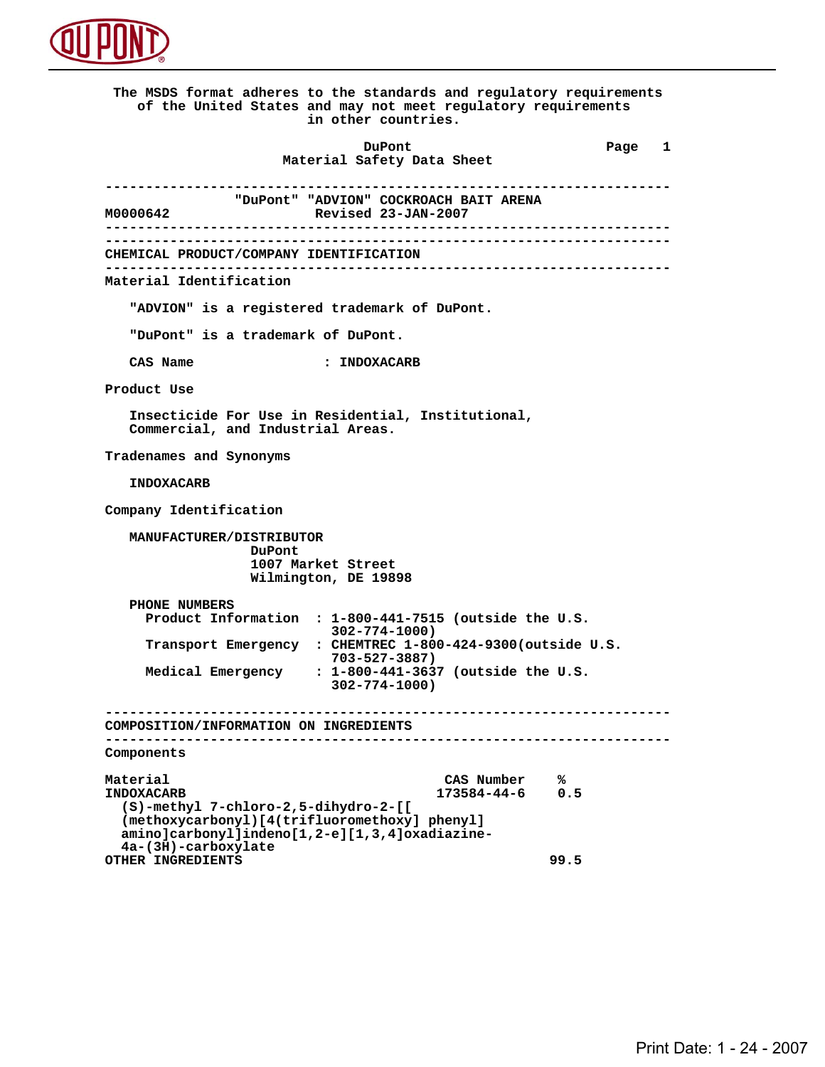

 **The MSDS format adheres to the standards and regulatory requirements of the United States and may not meet regulatory requirements in other countries. DuPont Different Page 1 Material Safety Data Sheet ---------------------------------------------------------------------- MOOOO642** "DuPont" "ADVION" COCKROACH BAIT ARENA<br>Revised 23-JAN-2007  **M0000642 Revised 23-JAN-2007 ---------------------------------------------------------------------- ---------------------------------------------------------------------- CHEMICAL PRODUCT/COMPANY IDENTIFICATION ---------------------------------------------------------------------- Material Identification "ADVION" is a registered trademark of DuPont. "DuPont" is a trademark of DuPont. CAS Name : INDOXACARB Product Use Insecticide For Use in Residential, Institutional, Commercial, and Industrial Areas. Tradenames and Synonyms INDOXACARB Company Identification MANUFACTURER/DISTRIBUTOR DuPont 1007 Market Street Wilmington, DE 19898 PHONE NUMBERS Product Information : 1-800-441-7515 (outside the U.S. 302-774-1000) Transport Emergency : CHEMTREC 1-800-424-9300(outside U.S. 703-527-3887) Medical Emergency : 1-800-441-3637 (outside the U.S. 302-774-1000) ---------------------------------------------------------------------- COMPOSITION/INFORMATION ON INGREDIENTS ---------------------------------------------------------------------- Components** Material CAS Number % **8**<br>
INDOXACARB 173584-44-6 0.5  **INDOXACARB 173584-44-6 0.5 (S)-methyl 7-chloro-2,5-dihydro-2-[[ (methoxycarbonyl)[4(trifluoromethoxy] phenyl] amino]carbonyl]indeno[1,2-e][1,3,4]oxadiazine- 4a-(3H)-carboxylate OTHER INGREDIENTS 99.5**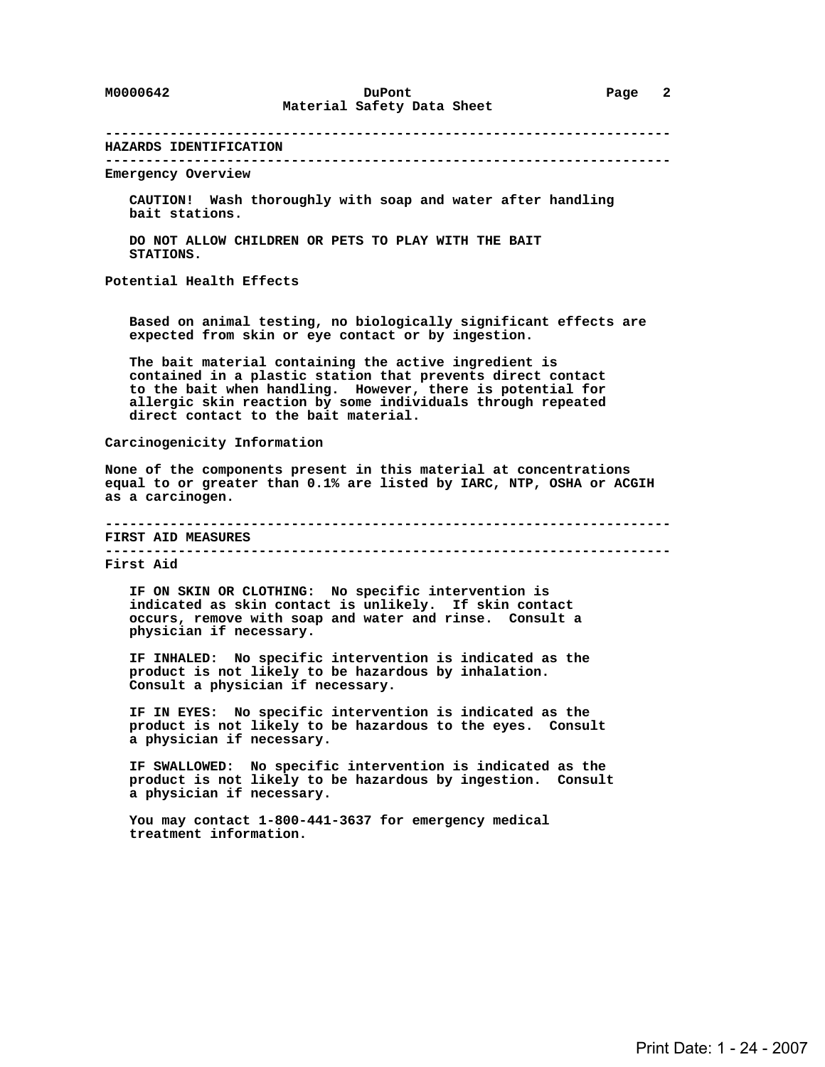**---------------------------------------------------------------------- HAZARDS IDENTIFICATION ---------------------------------------------------------------------- Emergency Overview CAUTION! Wash thoroughly with soap and water after handling bait stations. DO NOT ALLOW CHILDREN OR PETS TO PLAY WITH THE BAIT STATIONS. Potential Health Effects Based on animal testing, no biologically significant effects are expected from skin or eye contact or by ingestion. The bait material containing the active ingredient is contained in a plastic station that prevents direct contact to the bait when handling. However, there is potential for allergic skin reaction by some individuals through repeated direct contact to the bait material. Carcinogenicity Information None of the components present in this material at concentrations equal to or greater than 0.1% are listed by IARC, NTP, OSHA or ACGIH as a carcinogen. ---------------------------------------------------------------------- FIRST AID MEASURES ---------------------------------------------------------------------- First Aid IF ON SKIN OR CLOTHING: No specific intervention is indicated as skin contact is unlikely. If skin contact occurs, remove with soap and water and rinse. Consult a physician if necessary. IF INHALED: No specific intervention is indicated as the product is not likely to be hazardous by inhalation. Consult a physician if necessary. IF IN EYES: No specific intervention is indicated as the product is not likely to be hazardous to the eyes. Consult a physician if necessary. IF SWALLOWED: No specific intervention is indicated as the product is not likely to be hazardous by ingestion. Consult a physician if necessary. You may contact 1-800-441-3637 for emergency medical treatment information.**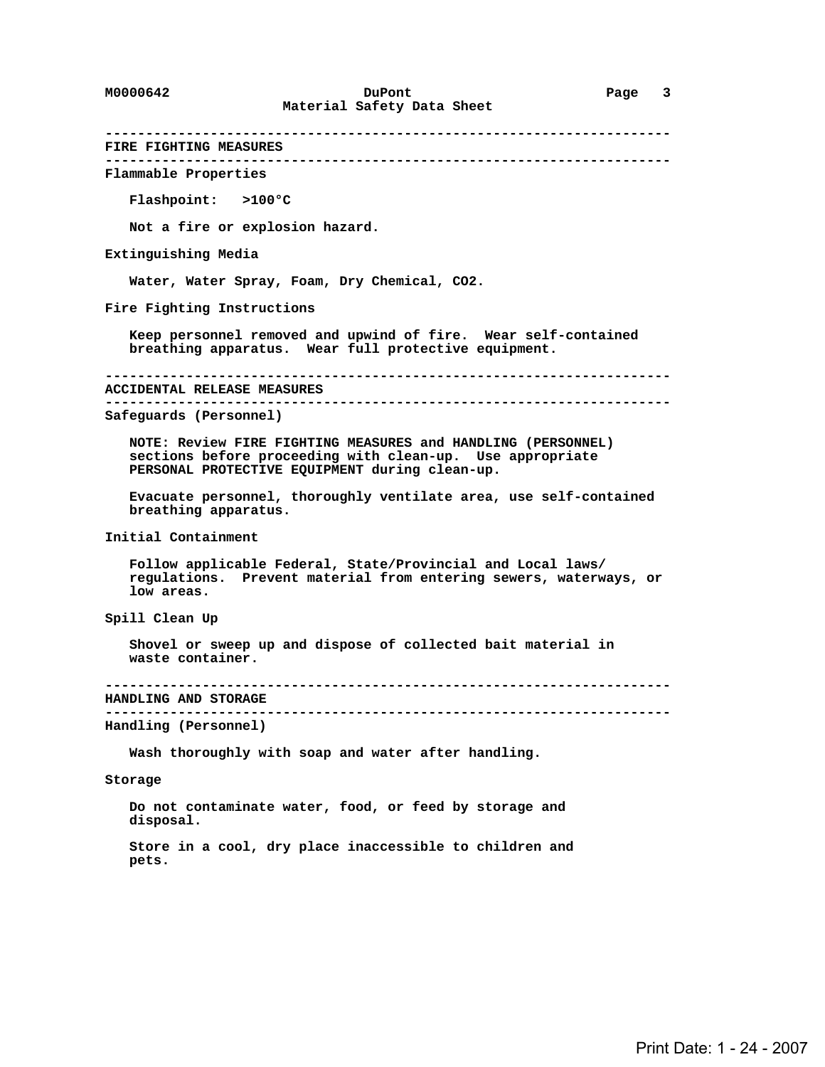**---------------------------------------------------------------------- FIRE FIGHTING MEASURES ---------------------------------------------------------------------- Flammable Properties Flashpoint: >100°C Not a fire or explosion hazard. Extinguishing Media Water, Water Spray, Foam, Dry Chemical, CO2. Fire Fighting Instructions Keep personnel removed and upwind of fire. Wear self-contained breathing apparatus. Wear full protective equipment. ---------------------------------------------------------------------- ACCIDENTAL RELEASE MEASURES ---------------------------------------------------------------------- Safeguards (Personnel) NOTE: Review FIRE FIGHTING MEASURES and HANDLING (PERSONNEL) sections before proceeding with clean-up. Use appropriate PERSONAL PROTECTIVE EQUIPMENT during clean-up. Evacuate personnel, thoroughly ventilate area, use self-contained breathing apparatus. Initial Containment Follow applicable Federal, State/Provincial and Local laws/ regulations. Prevent material from entering sewers, waterways, or low areas. Spill Clean Up Shovel or sweep up and dispose of collected bait material in waste container. ---------------------------------------------------------------------- HANDLING AND STORAGE ---------------------------------------------------------------------- Handling (Personnel) Wash thoroughly with soap and water after handling. Storage Do not contaminate water, food, or feed by storage and disposal.**

 **Store in a cool, dry place inaccessible to children and pets.**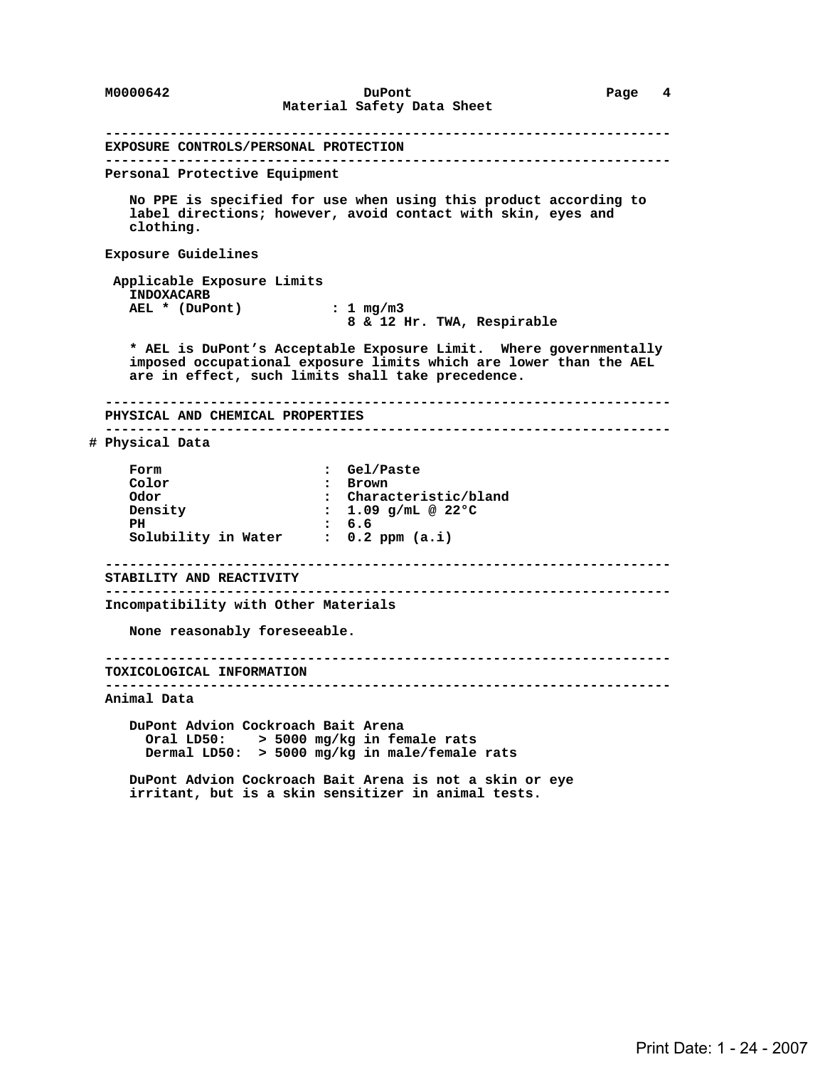**---------------------------------------------------------------------- EXPOSURE CONTROLS/PERSONAL PROTECTION ---------------------------------------------------------------------- Personal Protective Equipment No PPE is specified for use when using this product according to label directions; however, avoid contact with skin, eyes and clothing. Exposure Guidelines Applicable Exposure Limits INDOXACARB AEL \* (DuPont) : 1 mg/m3 8 & 12 Hr. TWA, Respirable \* AEL is DuPont's Acceptable Exposure Limit. Where governmentally imposed occupational exposure limits which are lower than the AEL are in effect, such limits shall take precedence. ---------------------------------------------------------------------- PHYSICAL AND CHEMICAL PROPERTIES ---------------------------------------------------------------------- # Physical Data Form : Gel/Paste :** Brown  **Odor : Characteristic/bland Density : 1.09 g/mL @ 22°C** PH : 6.6<br>Solubility in Water : 0.2 ppm (a.i) **Solubility in Water ---------------------------------------------------------------------- STABILITY AND REACTIVITY ---------------------------------------------------------------------- Incompatibility with Other Materials None reasonably foreseeable. ---------------------------------------------------------------------- TOXICOLOGICAL INFORMATION ---------------------------------------------------------------------- Animal Data DuPont Advion Cockroach Bait Arena Oral LD50: > 5000 mg/kg in female rats Dermal LD50: > 5000 mg/kg in male/female rats DuPont Advion Cockroach Bait Arena is not a skin or eye irritant, but is a skin sensitizer in animal tests.**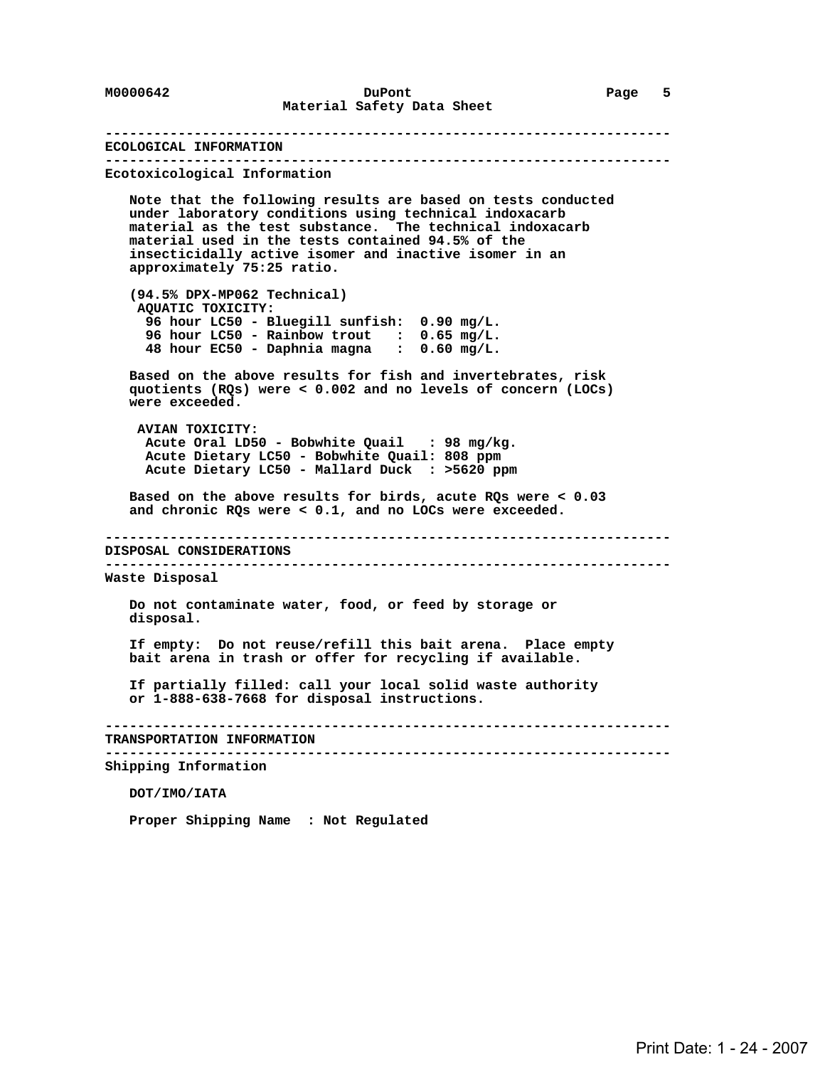**---------------------------------------------------------------------- ECOLOGICAL INFORMATION ---------------------------------------------------------------------- Ecotoxicological Information Note that the following results are based on tests conducted under laboratory conditions using technical indoxacarb material as the test substance. The technical indoxacarb material used in the tests contained 94.5% of the insecticidally active isomer and inactive isomer in an approximately 75:25 ratio. (94.5% DPX-MP062 Technical) AQUATIC TOXICITY: 96 hour LC50 - Bluegill sunfish: 0.90 mg/L. 96 hour LC50 - Rainbow trout : 0.65 mg/L. 48 hour EC50 - Daphnia magna : 0.60 mg/L. Based on the above results for fish and invertebrates, risk quotients (RQs) were < 0.002 and no levels of concern (LOCs) were exceeded. AVIAN TOXICITY: Acute Oral LD50 - Bobwhite Quail : 98 mg/kg. Acute Dietary LC50 - Bobwhite Quail: 808 ppm Acute Dietary LC50 - Mallard Duck : >5620 ppm Based on the above results for birds, acute RQs were < 0.03 and chronic RQs were < 0.1, and no LOCs were exceeded. ---------------------------------------------------------------------- DISPOSAL CONSIDERATIONS ---------------------------------------------------------------------- Waste Disposal Do not contaminate water, food, or feed by storage or disposal. If empty: Do not reuse/refill this bait arena. Place empty bait arena in trash or offer for recycling if available. If partially filled: call your local solid waste authority or 1-888-638-7668 for disposal instructions. ---------------------------------------------------------------------- TRANSPORTATION INFORMATION ---------------------------------------------------------------------- Shipping Information DOT/IMO/IATA**

 **Proper Shipping Name : Not Regulated**